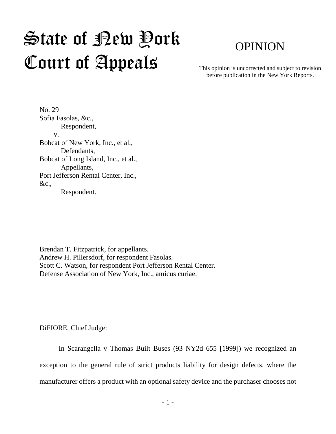# State of New York Court of Appeals

# OPINION

This opinion is uncorrected and subject to revision before publication in the New York Reports.

No. 29 Sofia Fasolas, &c., Respondent, v. Bobcat of New York, Inc., et al., Defendants, Bobcat of Long Island, Inc., et al., Appellants, Port Jefferson Rental Center, Inc., &c., Respondent.

Brendan T. Fitzpatrick, for appellants. Andrew H. Pillersdorf, for respondent Fasolas. Scott C. Watson, for respondent Port Jefferson Rental Center. Defense Association of New York, Inc., amicus curiae.

DiFIORE, Chief Judge:

In Scarangella v Thomas Built Buses (93 NY2d 655 [1999]) we recognized an exception to the general rule of strict products liability for design defects, where the manufacturer offers a product with an optional safety device and the purchaser chooses not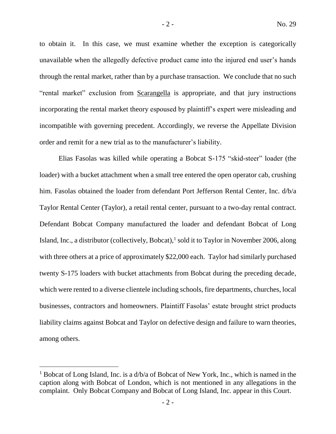to obtain it. In this case, we must examine whether the exception is categorically unavailable when the allegedly defective product came into the injured end user's hands through the rental market, rather than by a purchase transaction. We conclude that no such "rental market" exclusion from Scarangella is appropriate, and that jury instructions incorporating the rental market theory espoused by plaintiff's expert were misleading and incompatible with governing precedent. Accordingly, we reverse the Appellate Division order and remit for a new trial as to the manufacturer's liability.

Elias Fasolas was killed while operating a Bobcat S-175 "skid-steer" loader (the loader) with a bucket attachment when a small tree entered the open operator cab, crushing him. Fasolas obtained the loader from defendant Port Jefferson Rental Center, Inc. d/b/a Taylor Rental Center (Taylor), a retail rental center, pursuant to a two-day rental contract. Defendant Bobcat Company manufactured the loader and defendant Bobcat of Long Island, Inc., a distributor (collectively, Bobcat),<sup>1</sup> sold it to Taylor in November 2006, along with three others at a price of approximately \$22,000 each. Taylor had similarly purchased twenty S-175 loaders with bucket attachments from Bobcat during the preceding decade, which were rented to a diverse clientele including schools, fire departments, churches, local businesses, contractors and homeowners. Plaintiff Fasolas' estate brought strict products liability claims against Bobcat and Taylor on defective design and failure to warn theories, among others.

<sup>&</sup>lt;sup>1</sup> Bobcat of Long Island, Inc. is a  $d/b/a$  of Bobcat of New York, Inc., which is named in the caption along with Bobcat of London, which is not mentioned in any allegations in the complaint. Only Bobcat Company and Bobcat of Long Island, Inc. appear in this Court.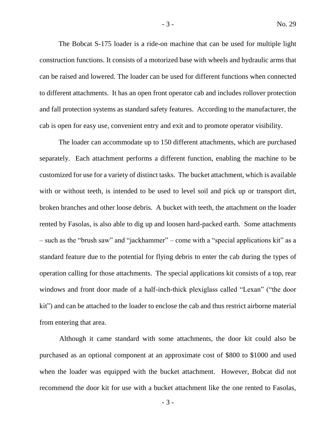The Bobcat S-175 loader is a ride-on machine that can be used for multiple light construction functions. It consists of a motorized base with wheels and hydraulic arms that can be raised and lowered. The loader can be used for different functions when connected to different attachments. It has an open front operator cab and includes rollover protection and fall protection systems as standard safety features. According to the manufacturer, the cab is open for easy use, convenient entry and exit and to promote operator visibility.

The loader can accommodate up to 150 different attachments, which are purchased separately. Each attachment performs a different function, enabling the machine to be customized for use for a variety of distinct tasks. The bucket attachment, which is available with or without teeth, is intended to be used to level soil and pick up or transport dirt, broken branches and other loose debris. A bucket with teeth, the attachment on the loader rented by Fasolas, is also able to dig up and loosen hard-packed earth. Some attachments – such as the "brush saw" and "jackhammer" – come with a "special applications kit" as a standard feature due to the potential for flying debris to enter the cab during the types of operation calling for those attachments. The special applications kit consists of a top, rear windows and front door made of a half-inch-thick plexiglass called "Lexan" ("the door kit") and can be attached to the loader to enclose the cab and thus restrict airborne material from entering that area.

Although it came standard with some attachments, the door kit could also be purchased as an optional component at an approximate cost of \$800 to \$1000 and used when the loader was equipped with the bucket attachment. However, Bobcat did not recommend the door kit for use with a bucket attachment like the one rented to Fasolas,

- 3 -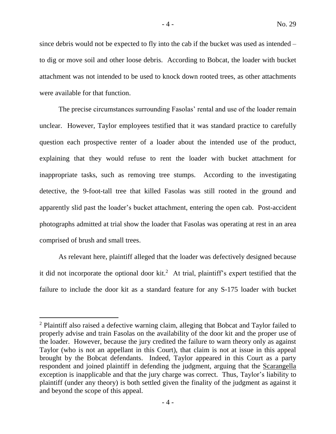since debris would not be expected to fly into the cab if the bucket was used as intended – to dig or move soil and other loose debris. According to Bobcat, the loader with bucket attachment was not intended to be used to knock down rooted trees, as other attachments were available for that function.

The precise circumstances surrounding Fasolas' rental and use of the loader remain unclear. However, Taylor employees testified that it was standard practice to carefully question each prospective renter of a loader about the intended use of the product, explaining that they would refuse to rent the loader with bucket attachment for inappropriate tasks, such as removing tree stumps. According to the investigating detective, the 9-foot-tall tree that killed Fasolas was still rooted in the ground and apparently slid past the loader's bucket attachment, entering the open cab. Post-accident photographs admitted at trial show the loader that Fasolas was operating at rest in an area comprised of brush and small trees.

As relevant here, plaintiff alleged that the loader was defectively designed because it did not incorporate the optional door kit.<sup>2</sup> At trial, plaintiff's expert testified that the failure to include the door kit as a standard feature for any S-175 loader with bucket

 $\overline{a}$ 

- 4 -

<sup>2</sup> Plaintiff also raised a defective warning claim, alleging that Bobcat and Taylor failed to properly advise and train Fasolas on the availability of the door kit and the proper use of the loader. However, because the jury credited the failure to warn theory only as against Taylor (who is not an appellant in this Court), that claim is not at issue in this appeal brought by the Bobcat defendants. Indeed, Taylor appeared in this Court as a party respondent and joined plaintiff in defending the judgment, arguing that the Scarangella exception is inapplicable and that the jury charge was correct. Thus, Taylor's liability to plaintiff (under any theory) is both settled given the finality of the judgment as against it and beyond the scope of this appeal.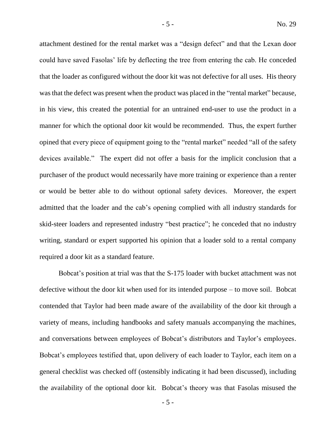attachment destined for the rental market was a "design defect" and that the Lexan door could have saved Fasolas' life by deflecting the tree from entering the cab. He conceded that the loader as configured without the door kit was not defective for all uses. His theory was that the defect was present when the product was placed in the "rental market" because, in his view, this created the potential for an untrained end-user to use the product in a manner for which the optional door kit would be recommended. Thus, the expert further opined that every piece of equipment going to the "rental market" needed "all of the safety devices available." The expert did not offer a basis for the implicit conclusion that a purchaser of the product would necessarily have more training or experience than a renter or would be better able to do without optional safety devices. Moreover, the expert admitted that the loader and the cab's opening complied with all industry standards for skid-steer loaders and represented industry "best practice"; he conceded that no industry writing, standard or expert supported his opinion that a loader sold to a rental company required a door kit as a standard feature.

Bobcat's position at trial was that the S-175 loader with bucket attachment was not defective without the door kit when used for its intended purpose – to move soil. Bobcat contended that Taylor had been made aware of the availability of the door kit through a variety of means, including handbooks and safety manuals accompanying the machines, and conversations between employees of Bobcat's distributors and Taylor's employees. Bobcat's employees testified that, upon delivery of each loader to Taylor, each item on a general checklist was checked off (ostensibly indicating it had been discussed), including the availability of the optional door kit. Bobcat's theory was that Fasolas misused the

- 5 -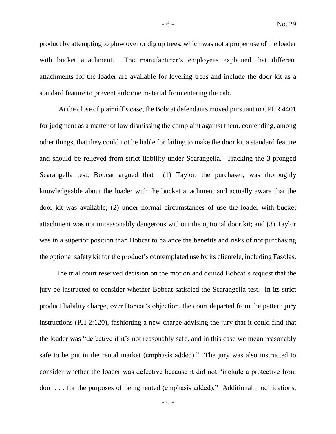product by attempting to plow over or dig up trees, which was not a proper use of the loader with bucket attachment. The manufacturer's employees explained that different attachments for the loader are available for leveling trees and include the door kit as a standard feature to prevent airborne material from entering the cab.

At the close of plaintiff's case, the Bobcat defendants moved pursuant to CPLR 4401 for judgment as a matter of law dismissing the complaint against them, contending, among other things, that they could not be liable for failing to make the door kit a standard feature and should be relieved from strict liability under Scarangella. Tracking the 3-pronged Scarangella test, Bobcat argued that (1) Taylor, the purchaser, was thoroughly knowledgeable about the loader with the bucket attachment and actually aware that the door kit was available; (2) under normal circumstances of use the loader with bucket attachment was not unreasonably dangerous without the optional door kit; and (3) Taylor was in a superior position than Bobcat to balance the benefits and risks of not purchasing the optional safety kit for the product's contemplated use by its clientele, including Fasolas.

The trial court reserved decision on the motion and denied Bobcat's request that the jury be instructed to consider whether Bobcat satisfied the Scarangella test. In its strict product liability charge, over Bobcat's objection, the court departed from the pattern jury instructions (PJI 2:120), fashioning a new charge advising the jury that it could find that the loader was "defective if it's not reasonably safe, and in this case we mean reasonably safe to be put in the rental market (emphasis added)." The jury was also instructed to consider whether the loader was defective because it did not "include a protective front door . . . for the purposes of being rented (emphasis added)." Additional modifications,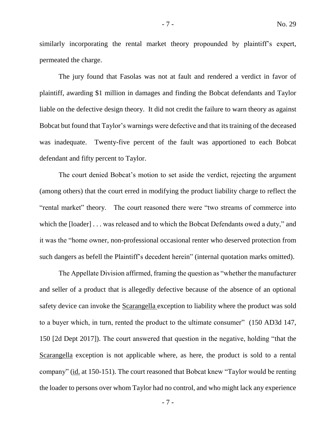similarly incorporating the rental market theory propounded by plaintiff's expert, permeated the charge.

The jury found that Fasolas was not at fault and rendered a verdict in favor of plaintiff, awarding \$1 million in damages and finding the Bobcat defendants and Taylor liable on the defective design theory. It did not credit the failure to warn theory as against Bobcat but found that Taylor's warnings were defective and that its training of the deceased was inadequate. Twenty-five percent of the fault was apportioned to each Bobcat defendant and fifty percent to Taylor.

The court denied Bobcat's motion to set aside the verdict, rejecting the argument (among others) that the court erred in modifying the product liability charge to reflect the "rental market" theory. The court reasoned there were "two streams of commerce into which the [loader] . . . was released and to which the Bobcat Defendants owed a duty," and it was the "home owner, non-professional occasional renter who deserved protection from such dangers as befell the Plaintiff's decedent herein" (internal quotation marks omitted).

The Appellate Division affirmed, framing the question as "whether the manufacturer and seller of a product that is allegedly defective because of the absence of an optional safety device can invoke the Scarangella exception to liability where the product was sold to a buyer which, in turn, rented the product to the ultimate consumer" (150 AD3d 147, 150 [2d Dept 2017]). The court answered that question in the negative, holding "that the Scarangella exception is not applicable where, as here, the product is sold to a rental company" (id. at 150-151). The court reasoned that Bobcat knew "Taylor would be renting the loader to persons over whom Taylor had no control, and who might lack any experience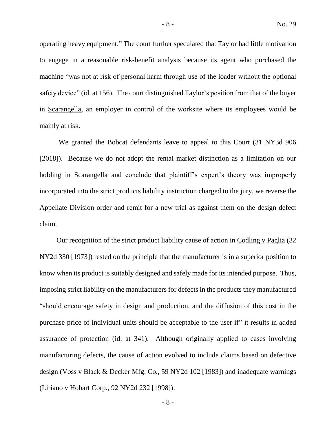operating heavy equipment." The court further speculated that Taylor had little motivation to engage in a reasonable risk-benefit analysis because its agent who purchased the machine "was not at risk of personal harm through use of the loader without the optional safety device" (id. at 156). The court distinguished Taylor's position from that of the buyer in Scarangella, an employer in control of the worksite where its employees would be mainly at risk.

We granted the Bobcat defendants leave to appeal to this Court (31 NY3d 906 [2018]). Because we do not adopt the rental market distinction as a limitation on our holding in Scarangella and conclude that plaintiff's expert's theory was improperly incorporated into the strict products liability instruction charged to the jury, we reverse the Appellate Division order and remit for a new trial as against them on the design defect claim.

Our recognition of the strict product liability cause of action in Codling v Paglia (32 NY2d 330 [1973]) rested on the principle that the manufacturer is in a superior position to know when its product is suitably designed and safely made for its intended purpose. Thus, imposing strict liability on the manufacturers for defects in the products they manufactured "should encourage safety in design and production, and the diffusion of this cost in the purchase price of individual units should be acceptable to the user if" it results in added assurance of protection (id. at 341). Although originally applied to cases involving manufacturing defects, the cause of action evolved to include claims based on defective design (Voss v Black & Decker Mfg. Co*.*, 59 NY2d 102 [1983]) and inadequate warnings (Liriano v Hobart Corp*.*, 92 NY2d 232 [1998]).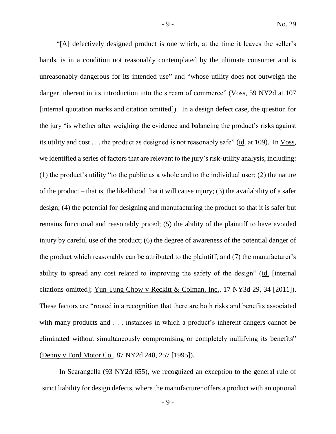"[A] defectively designed product is one which, at the time it leaves the seller's hands, is in a condition not reasonably contemplated by the ultimate consumer and is unreasonably dangerous for its intended use" and "whose utility does not outweigh the danger inherent in its introduction into the stream of commerce" (Voss, 59 NY2d at 107 [internal quotation marks and citation omitted]). In a design defect case, the question for the jury "is whether after weighing the evidence and balancing the product's risks against its utility and cost . . . the product as designed is not reasonably safe" (id. at 109). In Voss, we identified a series of factors that are relevant to the jury's risk-utility analysis, including: (1) the product's utility "to the public as a whole and to the individual user; (2) the nature of the product – that is, the likelihood that it will cause injury; (3) the availability of a safer design; (4) the potential for designing and manufacturing the product so that it is safer but remains functional and reasonably priced; (5) the ability of the plaintiff to have avoided injury by careful use of the product; (6) the degree of awareness of the potential danger of the product which reasonably can be attributed to the plaintiff; and (7) the manufacturer's ability to spread any cost related to improving the safety of the design" (id. [internal citations omitted]; Yun Tung Chow v Reckitt & Colman, Inc., 17 NY3d 29, 34 [2011]). These factors are "rooted in a recognition that there are both risks and benefits associated with many products and . . . instances in which a product's inherent dangers cannot be eliminated without simultaneously compromising or completely nullifying its benefits" (Denny v Ford Motor Co., 87 NY2d 248, 257 [1995]).

In Scarangella (93 NY2d 655), we recognized an exception to the general rule of strict liability for design defects, where the manufacturer offers a product with an optional

- 9 -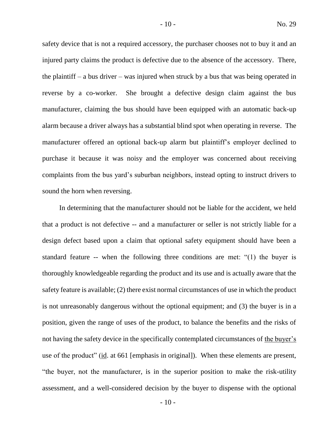safety device that is not a required accessory, the purchaser chooses not to buy it and an injured party claims the product is defective due to the absence of the accessory. There, the plaintiff – a bus driver – was injured when struck by a bus that was being operated in reverse by a co-worker. She brought a defective design claim against the bus manufacturer, claiming the bus should have been equipped with an automatic back-up alarm because a driver always has a substantial blind spot when operating in reverse. The manufacturer offered an optional back-up alarm but plaintiff's employer declined to purchase it because it was noisy and the employer was concerned about receiving complaints from the bus yard's suburban neighbors, instead opting to instruct drivers to sound the horn when reversing.

In determining that the manufacturer should not be liable for the accident, we held that a product is not defective -- and a manufacturer or seller is not strictly liable for a design defect based upon a claim that optional safety equipment should have been a standard feature -- when the following three conditions are met: "(1) the buyer is thoroughly knowledgeable regarding the product and its use and is actually aware that the safety feature is available; (2) there exist normal circumstances of use in which the product is not unreasonably dangerous without the optional equipment; and (3) the buyer is in a position, given the range of uses of the product, to balance the benefits and the risks of not having the safety device in the specifically contemplated circumstances of the buyer's use of the product" (id. at 661 [emphasis in original]). When these elements are present, "the buyer, not the manufacturer, is in the superior position to make the risk-utility assessment, and a well-considered decision by the buyer to dispense with the optional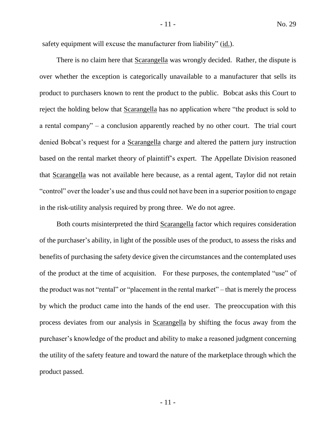safety equipment will excuse the manufacturer from liability" (id.).

There is no claim here that Scarangella was wrongly decided. Rather, the dispute is over whether the exception is categorically unavailable to a manufacturer that sells its product to purchasers known to rent the product to the public. Bobcat asks this Court to reject the holding below that Scarangella has no application where "the product is sold to a rental company" – a conclusion apparently reached by no other court. The trial court denied Bobcat's request for a Scarangella charge and altered the pattern jury instruction based on the rental market theory of plaintiff's expert. The Appellate Division reasoned that Scarangella was not available here because, as a rental agent, Taylor did not retain "control" over the loader's use and thus could not have been in a superior position to engage in the risk-utility analysis required by prong three. We do not agree.

Both courts misinterpreted the third Scarangella factor which requires consideration of the purchaser's ability, in light of the possible uses of the product, to assess the risks and benefits of purchasing the safety device given the circumstances and the contemplated uses of the product at the time of acquisition. For these purposes, the contemplated "use" of the product was not "rental" or "placement in the rental market" – that is merely the process by which the product came into the hands of the end user. The preoccupation with this process deviates from our analysis in Scarangella by shifting the focus away from the purchaser's knowledge of the product and ability to make a reasoned judgment concerning the utility of the safety feature and toward the nature of the marketplace through which the product passed.

- 11 -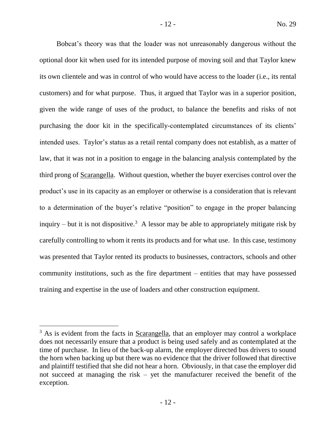Bobcat's theory was that the loader was not unreasonably dangerous without the optional door kit when used for its intended purpose of moving soil and that Taylor knew its own clientele and was in control of who would have access to the loader (i.e., its rental customers) and for what purpose. Thus, it argued that Taylor was in a superior position, given the wide range of uses of the product, to balance the benefits and risks of not purchasing the door kit in the specifically-contemplated circumstances of its clients' intended uses. Taylor's status as a retail rental company does not establish, as a matter of law, that it was not in a position to engage in the balancing analysis contemplated by the third prong of Scarangella. Without question, whether the buyer exercises control over the product's use in its capacity as an employer or otherwise is a consideration that is relevant to a determination of the buyer's relative "position" to engage in the proper balancing inquiry – but it is not dispositive.<sup>3</sup> A lessor may be able to appropriately mitigate risk by carefully controlling to whom it rents its products and for what use. In this case, testimony was presented that Taylor rented its products to businesses, contractors, schools and other community institutions, such as the fire department – entities that may have possessed training and expertise in the use of loaders and other construction equipment.

 $3$  As is evident from the facts in Scarangella, that an employer may control a workplace does not necessarily ensure that a product is being used safely and as contemplated at the time of purchase. In lieu of the back-up alarm, the employer directed bus drivers to sound the horn when backing up but there was no evidence that the driver followed that directive and plaintiff testified that she did not hear a horn. Obviously, in that case the employer did not succeed at managing the risk – yet the manufacturer received the benefit of the exception.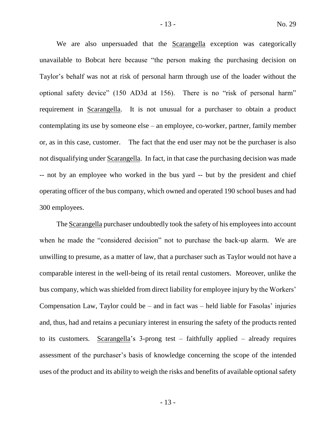We are also unpersuaded that the Scarangella exception was categorically unavailable to Bobcat here because "the person making the purchasing decision on Taylor's behalf was not at risk of personal harm through use of the loader without the optional safety device" (150 AD3d at 156). There is no "risk of personal harm" requirement in Scarangella. It is not unusual for a purchaser to obtain a product contemplating its use by someone else – an employee, co-worker, partner, family member or, as in this case, customer. The fact that the end user may not be the purchaser is also not disqualifying under Scarangella. In fact, in that case the purchasing decision was made -- not by an employee who worked in the bus yard -- but by the president and chief operating officer of the bus company, which owned and operated 190 school buses and had 300 employees.

The Scarangella purchaser undoubtedly took the safety of his employees into account when he made the "considered decision" not to purchase the back-up alarm. We are unwilling to presume, as a matter of law, that a purchaser such as Taylor would not have a comparable interest in the well-being of its retail rental customers. Moreover, unlike the bus company, which was shielded from direct liability for employee injury by the Workers' Compensation Law, Taylor could be – and in fact was – held liable for Fasolas' injuries and, thus, had and retains a pecuniary interest in ensuring the safety of the products rented to its customers. Scarangella's 3-prong test – faithfully applied – already requires assessment of the purchaser's basis of knowledge concerning the scope of the intended uses of the product and its ability to weigh the risks and benefits of available optional safety

- 13 -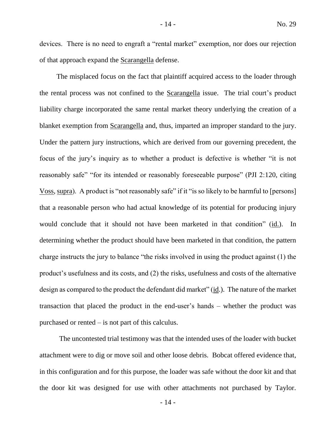devices. There is no need to engraft a "rental market" exemption, nor does our rejection of that approach expand the Scarangella defense.

The misplaced focus on the fact that plaintiff acquired access to the loader through the rental process was not confined to the Scarangella issue. The trial court's product liability charge incorporated the same rental market theory underlying the creation of a blanket exemption from Scarangella and, thus, imparted an improper standard to the jury. Under the pattern jury instructions, which are derived from our governing precedent, the focus of the jury's inquiry as to whether a product is defective is whether "it is not reasonably safe" "for its intended or reasonably foreseeable purpose" (PJI 2:120, citing Voss, supra). A product is "not reasonably safe" if it "is so likely to be harmful to [persons] that a reasonable person who had actual knowledge of its potential for producing injury would conclude that it should not have been marketed in that condition" (id.). In determining whether the product should have been marketed in that condition, the pattern charge instructs the jury to balance "the risks involved in using the product against (1) the product's usefulness and its costs, and (2) the risks, usefulness and costs of the alternative design as compared to the product the defendant did market" (id.). The nature of the market transaction that placed the product in the end-user's hands – whether the product was purchased or rented – is not part of this calculus.

The uncontested trial testimony was that the intended uses of the loader with bucket attachment were to dig or move soil and other loose debris. Bobcat offered evidence that, in this configuration and for this purpose, the loader was safe without the door kit and that the door kit was designed for use with other attachments not purchased by Taylor.

- 14 -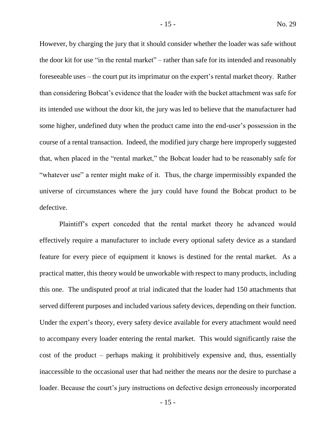However, by charging the jury that it should consider whether the loader was safe without the door kit for use "in the rental market" – rather than safe for its intended and reasonably foreseeable uses – the court put its imprimatur on the expert's rental market theory. Rather than considering Bobcat's evidence that the loader with the bucket attachment was safe for its intended use without the door kit, the jury was led to believe that the manufacturer had some higher, undefined duty when the product came into the end-user's possession in the course of a rental transaction. Indeed, the modified jury charge here improperly suggested that, when placed in the "rental market," the Bobcat loader had to be reasonably safe for "whatever use" a renter might make of it. Thus, the charge impermissibly expanded the universe of circumstances where the jury could have found the Bobcat product to be defective.

Plaintiff's expert conceded that the rental market theory he advanced would effectively require a manufacturer to include every optional safety device as a standard feature for every piece of equipment it knows is destined for the rental market. As a practical matter, this theory would be unworkable with respect to many products, including this one. The undisputed proof at trial indicated that the loader had 150 attachments that served different purposes and included various safety devices, depending on their function. Under the expert's theory, every safety device available for every attachment would need to accompany every loader entering the rental market. This would significantly raise the cost of the product – perhaps making it prohibitively expensive and, thus, essentially inaccessible to the occasional user that had neither the means nor the desire to purchase a loader. Because the court's jury instructions on defective design erroneously incorporated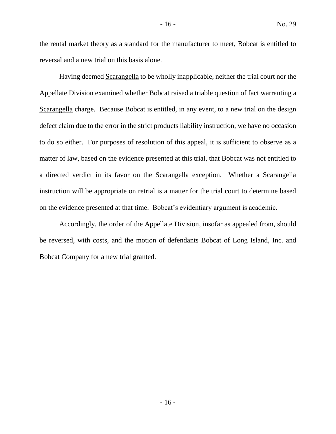the rental market theory as a standard for the manufacturer to meet, Bobcat is entitled to reversal and a new trial on this basis alone.

Having deemed Scarangella to be wholly inapplicable, neither the trial court nor the Appellate Division examined whether Bobcat raised a triable question of fact warranting a Scarangella charge. Because Bobcat is entitled, in any event, to a new trial on the design defect claim due to the error in the strict products liability instruction, we have no occasion to do so either. For purposes of resolution of this appeal, it is sufficient to observe as a matter of law, based on the evidence presented at this trial, that Bobcat was not entitled to a directed verdict in its favor on the Scarangella exception. Whether a Scarangella instruction will be appropriate on retrial is a matter for the trial court to determine based on the evidence presented at that time. Bobcat's evidentiary argument is academic.

Accordingly, the order of the Appellate Division, insofar as appealed from, should be reversed, with costs, and the motion of defendants Bobcat of Long Island, Inc. and Bobcat Company for a new trial granted.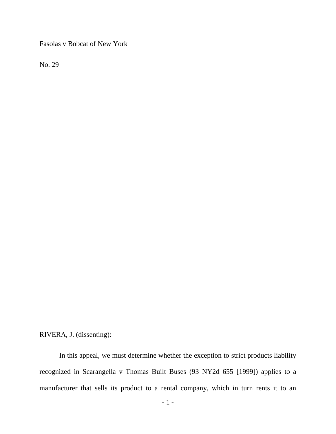Fasolas v Bobcat of New York

No. 29

RIVERA, J. (dissenting):

In this appeal, we must determine whether the exception to strict products liability recognized in Scarangella v Thomas Built Buses (93 NY2d 655 [1999]) applies to a manufacturer that sells its product to a rental company, which in turn rents it to an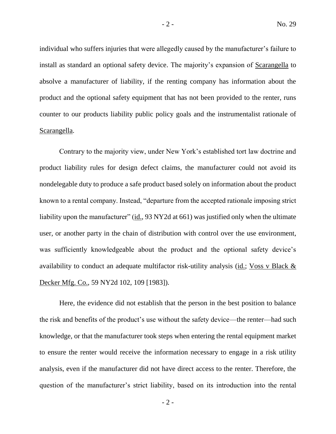individual who suffers injuries that were allegedly caused by the manufacturer's failure to install as standard an optional safety device. The majority's expansion of Scarangella to absolve a manufacturer of liability, if the renting company has information about the product and the optional safety equipment that has not been provided to the renter, runs counter to our products liability public policy goals and the instrumentalist rationale of Scarangella.

Contrary to the majority view, under New York's established tort law doctrine and product liability rules for design defect claims, the manufacturer could not avoid its nondelegable duty to produce a safe product based solely on information about the product known to a rental company. Instead, "departure from the accepted rationale imposing strict liability upon the manufacturer" (id., 93 NY2d at 661) was justified only when the ultimate user, or another party in the chain of distribution with control over the use environment, was sufficiently knowledgeable about the product and the optional safety device's availability to conduct an adequate multifactor risk-utility analysis (id.; Voss v Black & Decker Mfg. Co., 59 NY2d 102, 109 [1983]).

Here, the evidence did not establish that the person in the best position to balance the risk and benefits of the product's use without the safety device—the renter—had such knowledge, or that the manufacturer took steps when entering the rental equipment market to ensure the renter would receive the information necessary to engage in a risk utility analysis, even if the manufacturer did not have direct access to the renter. Therefore, the question of the manufacturer's strict liability, based on its introduction into the rental

 $-2 -$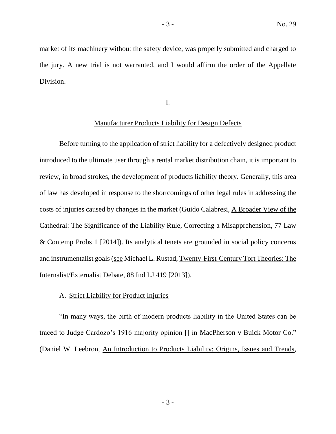market of its machinery without the safety device, was properly submitted and charged to the jury. A new trial is not warranted, and I would affirm the order of the Appellate Division.

I.

## Manufacturer Products Liability for Design Defects

Before turning to the application of strict liability for a defectively designed product introduced to the ultimate user through a rental market distribution chain, it is important to review, in broad strokes, the development of products liability theory. Generally, this area of law has developed in response to the shortcomings of other legal rules in addressing the costs of injuries caused by changes in the market (Guido Calabresi, A Broader View of the Cathedral: The Significance of the Liability Rule, Correcting a Misapprehension, 77 Law & Contemp Probs 1 [2014]). Its analytical tenets are grounded in social policy concerns and instrumentalist goals (see Michael L. Rustad, Twenty-First-Century Tort Theories: The Internalist/Externalist Debate, 88 Ind LJ 419 [2013]).

# A. Strict Liability for Product Injuries

"In many ways, the birth of modern products liability in the United States can be traced to Judge Cardozo's 1916 majority opinion [] in MacPherson v Buick Motor Co." (Daniel W. Leebron, An Introduction to Products Liability: Origins, Issues and Trends,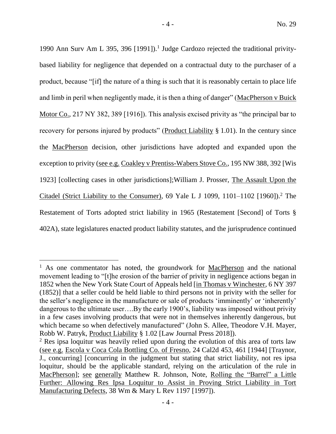1990 Ann Surv Am L 395, 396 [1991]).<sup>1</sup> Judge Cardozo rejected the traditional privitybased liability for negligence that depended on a contractual duty to the purchaser of a product, because "[if] the nature of a thing is such that it is reasonably certain to place life and limb in peril when negligently made, it is then a thing of danger" (MacPherson v Buick Motor Co., 217 NY 382, 389 [1916]). This analysis excised privity as "the principal bar to recovery for persons injured by products" (Product Liability § 1.01). In the century since the MacPherson decision, other jurisdictions have adopted and expanded upon the exception to privity (see e.g. Coakley v Prentiss-Wabers Stove Co., 195 NW 388, 392 [Wis 1923] [collecting cases in other jurisdictions];William J. Prosser, The Assault Upon the Citadel (Strict Liability to the Consumer), 69 Yale L J 1099, 1101–1102  $[1960]$ .<sup>2</sup> The Restatement of Torts adopted strict liability in 1965 (Restatement [Second] of Torts § 402A), state legislatures enacted product liability statutes, and the jurisprudence continued

<sup>&</sup>lt;sup>1</sup> As one commentator has noted, the groundwork for  $MacPherson$  and the national movement leading to "[t]he erosion of the barrier of privity in negligence actions began in 1852 when the New York State Court of Appeals held [in Thomas v Winchester, 6 NY 397 (1852)] that a seller could be held liable to third persons not in privity with the seller for the seller's negligence in the manufacture or sale of products 'imminently' or 'inherently' dangerous to the ultimate user….By the early 1900's, liability was imposed without privity in a few cases involving products that were not in themselves inherently dangerous, but which became so when defectively manufactured" (John S. Allee, Theodore V.H. Mayer, Robb W. Patryk, Product Liability § 1.02 [Law Journal Press 2018]).

<sup>&</sup>lt;sup>2</sup> Res ipsa loquitur was heavily relied upon during the evolution of this area of torts law (see e.g. Escola v Coca Cola Bottling Co. of Fresno, 24 Cal2d 453, 461 [1944] [Traynor, J., concurring] [concurring in the judgment but stating that strict liability, not res ipsa loquitur, should be the applicable standard, relying on the articulation of the rule in MacPherson]; see generally Matthew R. Johnson, Note, Rolling the "Barrel" a Little Further: Allowing Res Ipsa Loquitur to Assist in Proving Strict Liability in Tort Manufacturing Defects, 38 Wm & Mary L Rev 1197 [1997]).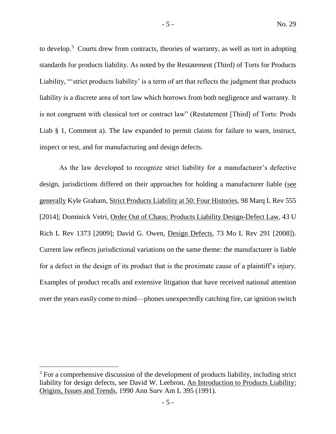to develop.<sup>3</sup> Courts drew from contracts, theories of warranty, as well as tort in adopting standards for products liability. As noted by the Restatement (Third) of Torts for Products Liability, "'strict products liability' is a term of art that reflects the judgment that products liability is a discrete area of tort law which borrows from both negligence and warranty. It is not congruent with classical tort or contract law" (Restatement [Third] of Torts: Prods Liab § 1, Comment a). The law expanded to permit claims for failure to warn, instruct, inspect or test, and for manufacturing and design defects.

As the law developed to recognize strict liability for a manufacturer's defective design, jurisdictions differed on their approaches for holding a manufacturer liable (see generally Kyle Graham, Strict Products Liability at 50: Four Histories, 98 Marq L Rev 555 [2014]; Dominick Vetri, Order Out of Chaos: Products Liability Design-Defect Law, 43 U Rich L Rev 1373 [2009]; David G. Owen, Design Defects, 73 Mo L Rev 291 [2008]). Current law reflects jurisdictional variations on the same theme: the manufacturer is liable for a defect in the design of its product that is the proximate cause of a plaintiff's injury. Examples of product recalls and extensive litigation that have received national attention over the years easily come to mind—phones unexpectedly catching fire, car ignition switch

<sup>&</sup>lt;sup>3</sup> For a comprehensive discussion of the development of products liability, including strict liability for design defects, see David W. Leebron, An Introduction to Products Liability: Origins, Issues and Trends, 1990 Ann Surv Am L 395 (1991).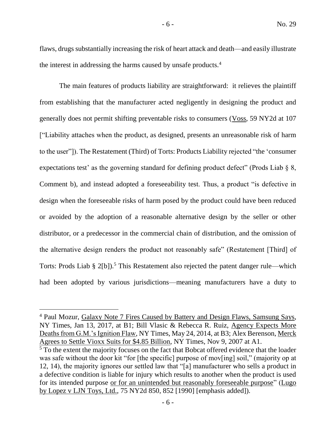flaws, drugs substantially increasing the risk of heart attack and death—and easily illustrate the interest in addressing the harms caused by unsafe products.<sup>4</sup>

The main features of products liability are straightforward: it relieves the plaintiff from establishing that the manufacturer acted negligently in designing the product and generally does not permit shifting preventable risks to consumers (Voss, 59 NY2d at 107 ["Liability attaches when the product, as designed, presents an unreasonable risk of harm to the user"]). The Restatement (Third) of Torts: Products Liability rejected "the 'consumer expectations test' as the governing standard for defining product defect" (Prods Liab § 8, Comment b), and instead adopted a foreseeability test. Thus, a product "is defective in design when the foreseeable risks of harm posed by the product could have been reduced or avoided by the adoption of a reasonable alternative design by the seller or other distributor, or a predecessor in the commercial chain of distribution, and the omission of the alternative design renders the product not reasonably safe" (Restatement [Third] of Torts: Prods Liab  $\S 2[b]$ .<sup>5</sup> This Restatement also rejected the patent danger rule—which had been adopted by various jurisdictions—meaning manufacturers have a duty to

<sup>4</sup> Paul Mozur, Galaxy Note 7 Fires Caused by Battery and Design Flaws, Samsung Says, NY Times, Jan 13, 2017, at B1; Bill Vlasic & Rebecca R. Ruiz, Agency Expects More Deaths from G.M.'s Ignition Flaw, NY Times, May 24, 2014, at B3; Alex Berenson, Merck Agrees to Settle Vioxx Suits for \$4.85 Billion, NY Times, Nov 9, 2007 at A1.

<sup>&</sup>lt;sup>5</sup> To the extent the majority focuses on the fact that Bobcat offered evidence that the loader was safe without the door kit "for [the specific] purpose of mov[ing] soil," (majority op at 12, 14), the majority ignores our settled law that "[a] manufacturer who sells a product in a defective condition is liable for injury which results to another when the product is used for its intended purpose or for an unintended but reasonably foreseeable purpose" (Lugo by Lopez v LJN Toys, Ltd., 75 NY2d 850, 852 [1990] [emphasis added]).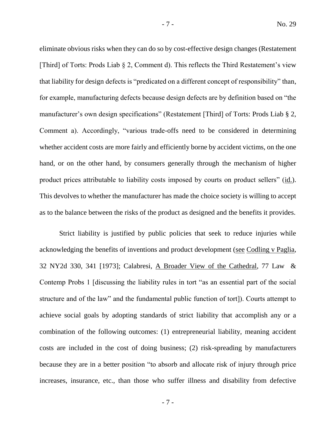eliminate obvious risks when they can do so by cost-effective design changes (Restatement [Third] of Torts: Prods Liab § 2, Comment d). This reflects the Third Restatement's view that liability for design defects is "predicated on a different concept of responsibility" than, for example, manufacturing defects because design defects are by definition based on "the manufacturer's own design specifications" (Restatement [Third] of Torts: Prods Liab § 2, Comment a). Accordingly, "various trade-offs need to be considered in determining whether accident costs are more fairly and efficiently borne by accident victims, on the one hand, or on the other hand, by consumers generally through the mechanism of higher product prices attributable to liability costs imposed by courts on product sellers" (id.). This devolves to whether the manufacturer has made the choice society is willing to accept as to the balance between the risks of the product as designed and the benefits it provides.

Strict liability is justified by public policies that seek to reduce injuries while acknowledging the benefits of inventions and product development (see Codling v Paglia, 32 NY2d 330, 341 [1973]; Calabresi, A Broader View of the Cathedral, 77 Law & Contemp Probs 1 [discussing the liability rules in tort "as an essential part of the social structure and of the law" and the fundamental public function of tort]). Courts attempt to achieve social goals by adopting standards of strict liability that accomplish any or a combination of the following outcomes: (1) entrepreneurial liability, meaning accident costs are included in the cost of doing business; (2) risk-spreading by manufacturers because they are in a better position "to absorb and allocate risk of injury through price increases, insurance, etc., than those who suffer illness and disability from defective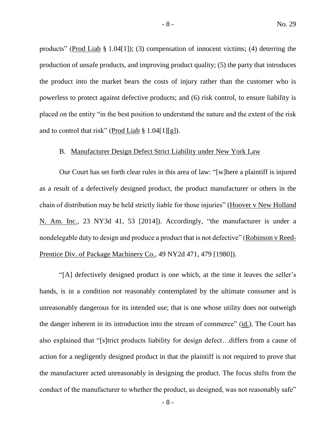products" (Prod Liab § 1.04[1]); (3) compensation of innocent victims; (4) deterring the production of unsafe products, and improving product quality; (5) the party that introduces the product into the market bears the costs of injury rather than the customer who is powerless to protect against defective products; and (6) risk control, to ensure liability is placed on the entity "in the best position to understand the nature and the extent of the risk and to control that risk" (Prod Liab  $\S 1.04[1][g]$ ).

# B. Manufacturer Design Defect Strict Liability under New York Law

Our Court has set forth clear rules in this area of law: "[w]here a plaintiff is injured as a result of a defectively designed product, the product manufacturer or others in the chain of distribution may be held strictly liable for those injuries" (Hoover v New Holland N. Am. Inc., 23 NY3d 41, 53 [2014]). Accordingly, "the manufacturer is under a nondelegable duty to design and produce a product that is not defective" (Robinson v Reed-Prentice Div. of Package Machinery Co., 49 NY2d 471, 479 [1980]).

"[A] defectively designed product is one which, at the time it leaves the seller's hands, is in a condition not reasonably contemplated by the ultimate consumer and is unreasonably dangerous for its intended use; that is one whose utility does not outweigh the danger inherent in its introduction into the stream of commerce" (id.). The Court has also explained that "[s]trict products liability for design defect…differs from a cause of action for a negligently designed product in that the plaintiff is not required to prove that the manufacturer acted unreasonably in designing the product. The focus shifts from the conduct of the manufacturer to whether the product, as designed, was not reasonably safe"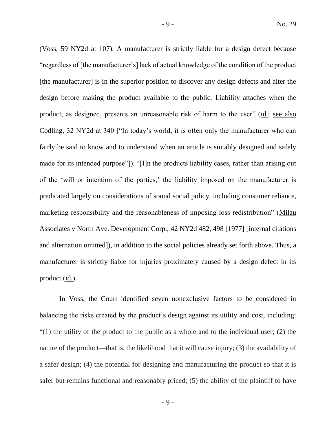(Voss, 59 NY2d at 107). A manufacturer is strictly liable for a design defect because "regardless of [the manufacturer's] lack of actual knowledge of the condition of the product [the manufacturer] is in the superior position to discover any design defects and alter the design before making the product available to the public. Liability attaches when the product, as designed, presents an unreasonable risk of harm to the user" (id.; see also Codling, 32 NY2d at 340 ["In today's world, it is often only the manufacturer who can fairly be said to know and to understand when an article is suitably designed and safely made for its intended purpose"]). "[I]n the products liability cases, rather than arising out of the 'will or intention of the parties,' the liability imposed on the manufacturer is predicated largely on considerations of sound social policy, including consumer reliance, marketing responsibility and the reasonableness of imposing loss redistribution" (Milau Associates v North Ave. Development Corp., 42 NY2d 482, 498 [1977] [internal citations and alternation omitted]), in addition to the social policies already set forth above. Thus, a manufacturer is strictly liable for injuries proximately caused by a design defect in its product (id.).

In Voss, the Court identified seven nonexclusive factors to be considered in balancing the risks created by the product's design against its utility and cost, including:  $(1)$  the utility of the product to the public as a whole and to the individual user; (2) the nature of the product—that is, the likelihood that it will cause injury; (3) the availability of a safer design; (4) the potential for designing and manufacturing the product so that it is safer but remains functional and reasonably priced; (5) the ability of the plaintiff to have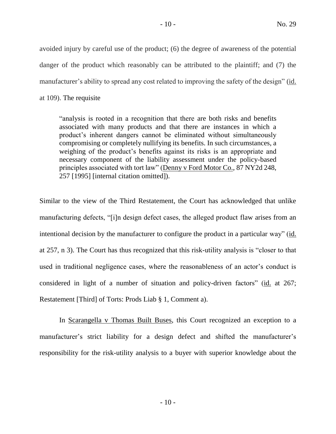avoided injury by careful use of the product; (6) the degree of awareness of the potential danger of the product which reasonably can be attributed to the plaintiff; and (7) the manufacturer's ability to spread any cost related to improving the safety of the design" (id. at 109). The requisite

"analysis is rooted in a recognition that there are both risks and benefits associated with many products and that there are instances in which a product's inherent dangers cannot be eliminated without simultaneously compromising or completely nullifying its benefits. In such circumstances, a weighing of the product's benefits against its risks is an appropriate and necessary component of the liability assessment under the policy-based principles associated with tort law" (Denny v Ford Motor Co., 87 NY2d 248, 257 [1995] [internal citation omitted]).

Similar to the view of the Third Restatement, the Court has acknowledged that unlike manufacturing defects, "[i]n design defect cases, the alleged product flaw arises from an intentional decision by the manufacturer to configure the product in a particular way" (id. at 257, n 3). The Court has thus recognized that this risk-utility analysis is "closer to that used in traditional negligence cases, where the reasonableness of an actor's conduct is considered in light of a number of situation and policy-driven factors" (id. at 267; Restatement [Third] of Torts: Prods Liab § 1, Comment a).

In Scarangella v Thomas Built Buses, this Court recognized an exception to a manufacturer's strict liability for a design defect and shifted the manufacturer's responsibility for the risk-utility analysis to a buyer with superior knowledge about the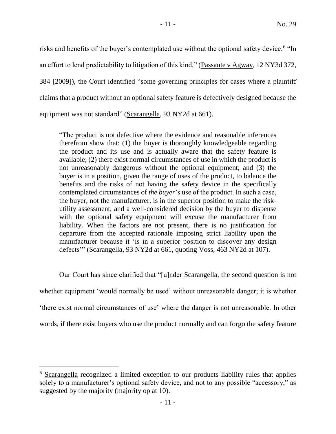risks and benefits of the buyer's contemplated use without the optional safety device.<sup>6</sup> "In an effort to lend predictability to litigation of this kind," (Passante v Agway, 12 NY3d 372, 384 [2009]), the Court identified "some governing principles for cases where a plaintiff claims that a product without an optional safety feature is defectively designed because the equipment was not standard" (Scarangella, 93 NY2d at 661).

"The product is not defective where the evidence and reasonable inferences therefrom show that: (1) the buyer is thoroughly knowledgeable regarding the product and its use and is actually aware that the safety feature is available; (2) there exist normal circumstances of use in which the product is not unreasonably dangerous without the optional equipment; and (3) the buyer is in a position, given the range of uses of the product, to balance the benefits and the risks of not having the safety device in the specifically contemplated circumstances of *the buyer*'s use of the product. In such a case, the buyer, not the manufacturer, is in the superior position to make the riskutility assessment, and a well-considered decision by the buyer to dispense with the optional safety equipment will excuse the manufacturer from liability. When the factors are not present, there is no justification for departure from the accepted rationale imposing strict liability upon the manufacturer because it 'is in a superior position to discover any design defects'" (Scarangella, 93 NY2d at 661, quoting Voss, 463 NY2d at 107).

Our Court has since clarified that "[u]nder Scarangella, the second question is not whether equipment 'would normally be used' without unreasonable danger; it is whether 'there exist normal circumstances of use' where the danger is not unreasonable. In other words, if there exist buyers who use the product normally and can forgo the safety feature

<sup>6</sup> Scarangella recognized a limited exception to our products liability rules that applies solely to a manufacturer's optional safety device, and not to any possible "accessory," as suggested by the majority (majority op at 10).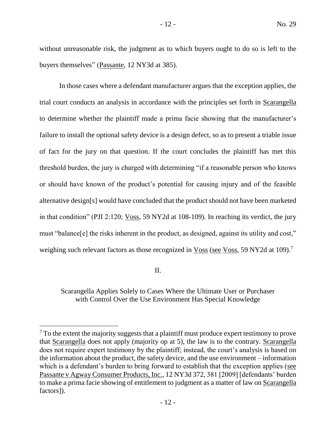without unreasonable risk, the judgment as to which buyers ought to do so is left to the buyers themselves" (Passante, 12 NY3d at 385).

In those cases where a defendant manufacturer argues that the exception applies, the trial court conducts an analysis in accordance with the principles set forth in Scarangella to determine whether the plaintiff made a prima facie showing that the manufacturer's failure to install the optional safety device is a design defect, so as to present a triable issue of fact for the jury on that question. If the court concludes the plaintiff has met this threshold burden, the jury is charged with determining "if a reasonable person who knows or should have known of the product's potential for causing injury and of the feasible alternative design[s] would have concluded that the product should not have been marketed in that condition" (PJI 2:120; Voss, 59 NY2d at 108-109). In reaching its verdict, the jury must "balance[e] the risks inherent in the product, as designed, against its utility and cost," weighing such relevant factors as those recognized in Voss (see Voss, 59 NY2d at 109).<sup>7</sup>

II.

 $\overline{a}$ 

Scarangella Applies Solely to Cases Where the Ultimate User or Purchaser with Control Over the Use Environment Has Special Knowledge

<sup>&</sup>lt;sup>7</sup> To the extent the majority suggests that a plaintiff must produce expert testimony to prove that Scarangella does not apply (majority op at 5), the law is to the contrary. Scarangella does not require expert testimony by the plaintiff; instead, the court's analysis is based on the information about the product, the safety device, and the use environment – information which is a defendant's burden to bring forward to establish that the exception applies (see Passante v Agway Consumer Products, Inc., 12 NY3d 372, 381 [2009] [defendants' burden to make a prima facie showing of entitlement to judgment as a matter of law on Scarangella factors]).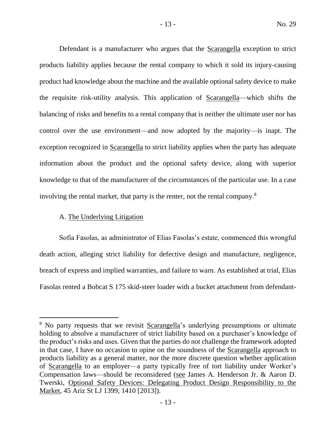Defendant is a manufacturer who argues that the Scarangella exception to strict products liability applies because the rental company to which it sold its injury-causing product had knowledge about the machine and the available optional safety device to make the requisite risk-utility analysis. This application of Scarangella—which shifts the balancing of risks and benefits to a rental company that is neither the ultimate user nor has control over the use environment—and now adopted by the majority—is inapt. The exception recognized in Scarangella to strict liability applies when the party has adequate information about the product and the optional safety device, along with superior knowledge to that of the manufacturer of the circumstances of the particular use. In a case involving the rental market, that party is the renter, not the rental company.<sup>8</sup>

# A. The Underlying Litigation

 $\overline{a}$ 

Sofia Fasolas, as administrator of Elias Fasolas's estate, commenced this wrongful death action, alleging strict liability for defective design and manufacture, negligence, breach of express and implied warranties, and failure to warn. As established at trial, Elias Fasolas rented a Bobcat S 175 skid-steer loader with a bucket attachment from defendant-

- 13 -

<sup>&</sup>lt;sup>8</sup> No party requests that we revisit Scarangella's underlying presumptions or ultimate holding to absolve a manufacturer of strict liability based on a purchaser's knowledge of the product's risks and uses. Given that the parties do not challenge the framework adopted in that case, I have no occasion to opine on the soundness of the Scarangella approach to products liability as a general matter, nor the more discrete question whether application of Scarangella to an employer—a party typically free of tort liability under Worker's Compensation laws—should be reconsidered (see James A. Henderson Jr. & Aaron D. Twerski, Optional Safety Devices: Delegating Product Design Responsibility to the Market, 45 Ariz St LJ 1399, 1410 [2013]).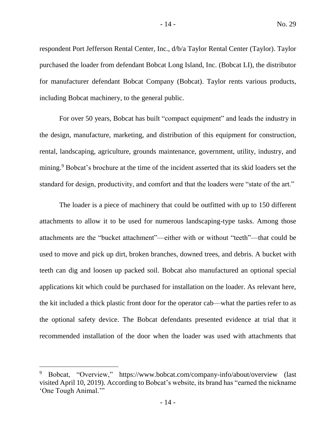respondent Port Jefferson Rental Center, Inc., d/b/a Taylor Rental Center (Taylor). Taylor purchased the loader from defendant Bobcat Long Island, Inc. (Bobcat LI), the distributor for manufacturer defendant Bobcat Company (Bobcat). Taylor rents various products, including Bobcat machinery, to the general public.

For over 50 years, Bobcat has built "compact equipment" and leads the industry in the design, manufacture, marketing, and distribution of this equipment for construction, rental, landscaping, agriculture, grounds maintenance, government, utility, industry, and mining.<sup>9</sup> Bobcat's brochure at the time of the incident asserted that its skid loaders set the standard for design, productivity, and comfort and that the loaders were "state of the art."

The loader is a piece of machinery that could be outfitted with up to 150 different attachments to allow it to be used for numerous landscaping-type tasks. Among those attachments are the "bucket attachment"—either with or without "teeth"—that could be used to move and pick up dirt, broken branches, downed trees, and debris. A bucket with teeth can dig and loosen up packed soil. Bobcat also manufactured an optional special applications kit which could be purchased for installation on the loader. As relevant here, the kit included a thick plastic front door for the operator cab—what the parties refer to as the optional safety device. The Bobcat defendants presented evidence at trial that it recommended installation of the door when the loader was used with attachments that

<sup>9</sup> Bobcat, "Overview," https://www.bobcat.com/company-info/about/overview (last visited April 10, 2019). According to Bobcat's website, its brand has "earned the nickname 'One Tough Animal.'"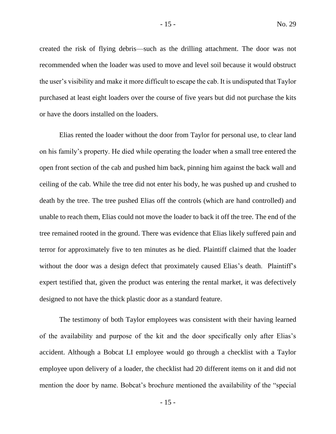created the risk of flying debris—such as the drilling attachment. The door was not recommended when the loader was used to move and level soil because it would obstruct the user's visibility and make it more difficult to escape the cab. It is undisputed that Taylor purchased at least eight loaders over the course of five years but did not purchase the kits or have the doors installed on the loaders.

Elias rented the loader without the door from Taylor for personal use, to clear land on his family's property. He died while operating the loader when a small tree entered the open front section of the cab and pushed him back, pinning him against the back wall and ceiling of the cab. While the tree did not enter his body, he was pushed up and crushed to death by the tree. The tree pushed Elias off the controls (which are hand controlled) and unable to reach them, Elias could not move the loader to back it off the tree. The end of the tree remained rooted in the ground. There was evidence that Elias likely suffered pain and terror for approximately five to ten minutes as he died. Plaintiff claimed that the loader without the door was a design defect that proximately caused Elias's death. Plaintiff's expert testified that, given the product was entering the rental market, it was defectively designed to not have the thick plastic door as a standard feature.

The testimony of both Taylor employees was consistent with their having learned of the availability and purpose of the kit and the door specifically only after Elias's accident. Although a Bobcat LI employee would go through a checklist with a Taylor employee upon delivery of a loader, the checklist had 20 different items on it and did not mention the door by name. Bobcat's brochure mentioned the availability of the "special

- 15 -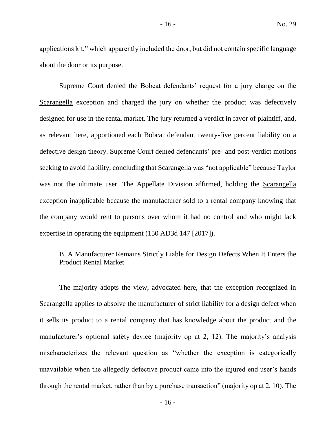applications kit," which apparently included the door, but did not contain specific language about the door or its purpose.

Supreme Court denied the Bobcat defendants' request for a jury charge on the Scarangella exception and charged the jury on whether the product was defectively designed for use in the rental market. The jury returned a verdict in favor of plaintiff, and, as relevant here, apportioned each Bobcat defendant twenty-five percent liability on a defective design theory. Supreme Court denied defendants' pre- and post-verdict motions seeking to avoid liability, concluding that Scarangella was "not applicable" because Taylor was not the ultimate user. The Appellate Division affirmed, holding the Scarangella exception inapplicable because the manufacturer sold to a rental company knowing that the company would rent to persons over whom it had no control and who might lack expertise in operating the equipment (150 AD3d 147 [2017]).

# B. A Manufacturer Remains Strictly Liable for Design Defects When It Enters the Product Rental Market

The majority adopts the view, advocated here, that the exception recognized in Scarangella applies to absolve the manufacturer of strict liability for a design defect when it sells its product to a rental company that has knowledge about the product and the manufacturer's optional safety device (majority op at 2, 12). The majority's analysis mischaracterizes the relevant question as "whether the exception is categorically unavailable when the allegedly defective product came into the injured end user's hands through the rental market, rather than by a purchase transaction" (majority op at 2, 10). The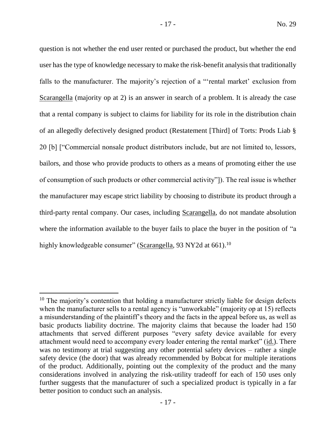question is not whether the end user rented or purchased the product, but whether the end user has the type of knowledge necessary to make the risk-benefit analysis that traditionally falls to the manufacturer. The majority's rejection of a "'rental market' exclusion from Scarangella (majority op at 2) is an answer in search of a problem. It is already the case that a rental company is subject to claims for liability for its role in the distribution chain of an allegedly defectively designed product (Restatement [Third] of Torts: Prods Liab § 20 [b] ["Commercial nonsale product distributors include, but are not limited to, lessors, bailors, and those who provide products to others as a means of promoting either the use of consumption of such products or other commercial activity"]). The real issue is whether the manufacturer may escape strict liability by choosing to distribute its product through a third-party rental company. Our cases, including Scarangella, do not mandate absolution where the information available to the buyer fails to place the buyer in the position of "a highly knowledgeable consumer" (Scarangella, 93 NY2d at 661).<sup>10</sup>

 $10$  The majority's contention that holding a manufacturer strictly liable for design defects when the manufacturer sells to a rental agency is "unworkable" (majority op at 15) reflects a misunderstanding of the plaintiff's theory and the facts in the appeal before us, as well as basic products liability doctrine. The majority claims that because the loader had 150 attachments that served different purposes "every safety device available for every attachment would need to accompany every loader entering the rental market" (id.). There was no testimony at trial suggesting any other potential safety devices – rather a single safety device (the door) that was already recommended by Bobcat for multiple iterations of the product. Additionally, pointing out the complexity of the product and the many considerations involved in analyzing the risk-utility tradeoff for each of 150 uses only further suggests that the manufacturer of such a specialized product is typically in a far better position to conduct such an analysis.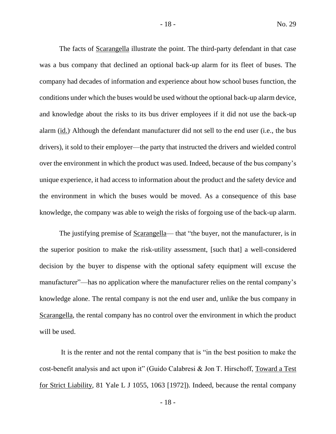The facts of Scarangella illustrate the point. The third-party defendant in that case was a bus company that declined an optional back-up alarm for its fleet of buses. The company had decades of information and experience about how school buses function, the conditions under which the buses would be used without the optional back-up alarm device, and knowledge about the risks to its bus driver employees if it did not use the back-up alarm (id.) Although the defendant manufacturer did not sell to the end user (i.e., the bus drivers), it sold to their employer—the party that instructed the drivers and wielded control over the environment in which the product was used. Indeed, because of the bus company's unique experience, it had access to information about the product and the safety device and the environment in which the buses would be moved. As a consequence of this base knowledge, the company was able to weigh the risks of forgoing use of the back-up alarm.

The justifying premise of Scarangella— that "the buyer, not the manufacturer, is in the superior position to make the risk-utility assessment, [such that] a well-considered decision by the buyer to dispense with the optional safety equipment will excuse the manufacturer"—has no application where the manufacturer relies on the rental company's knowledge alone. The rental company is not the end user and, unlike the bus company in Scarangella, the rental company has no control over the environment in which the product will be used.

It is the renter and not the rental company that is "in the best position to make the cost-benefit analysis and act upon it" (Guido Calabresi & Jon T. Hirschoff, Toward a Test for Strict Liability, 81 Yale L J 1055, 1063 [1972]). Indeed, because the rental company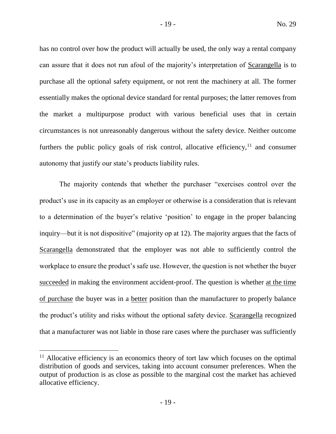has no control over how the product will actually be used, the only way a rental company can assure that it does not run afoul of the majority's interpretation of Scarangella is to purchase all the optional safety equipment, or not rent the machinery at all. The former essentially makes the optional device standard for rental purposes; the latter removes from the market a multipurpose product with various beneficial uses that in certain circumstances is not unreasonably dangerous without the safety device. Neither outcome furthers the public policy goals of risk control, allocative efficiency,  $11$  and consumer autonomy that justify our state's products liability rules.

The majority contends that whether the purchaser "exercises control over the product's use in its capacity as an employer or otherwise is a consideration that is relevant to a determination of the buyer's relative 'position' to engage in the proper balancing inquiry—but it is not dispositive" (majority op at 12). The majority argues that the facts of Scarangella demonstrated that the employer was not able to sufficiently control the workplace to ensure the product's safe use. However, the question is not whether the buyer succeeded in making the environment accident-proof. The question is whether at the time of purchase the buyer was in a better position than the manufacturer to properly balance the product's utility and risks without the optional safety device. Scarangella recognized that a manufacturer was not liable in those rare cases where the purchaser was sufficiently

 $<sup>11</sup>$  Allocative efficiency is an economics theory of tort law which focuses on the optimal</sup> distribution of goods and services, taking into account consumer preferences. When the output of production is as close as possible to the marginal cost the market has achieved allocative efficiency.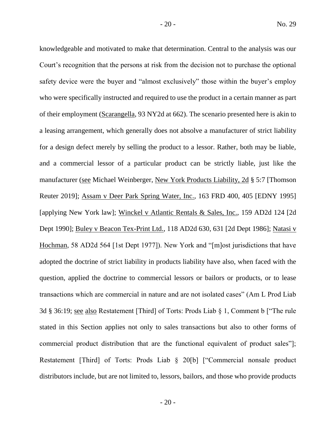knowledgeable and motivated to make that determination. Central to the analysis was our Court's recognition that the persons at risk from the decision not to purchase the optional safety device were the buyer and "almost exclusively" those within the buyer's employ who were specifically instructed and required to use the product in a certain manner as part of their employment (Scarangella, 93 NY2d at 662). The scenario presented here is akin to a leasing arrangement, which generally does not absolve a manufacturer of strict liability for a design defect merely by selling the product to a lessor. Rather, both may be liable, and a commercial lessor of a particular product can be strictly liable, just like the manufacturer (see Michael Weinberger, New York Products Liability, 2d § 5:7 [Thomson Reuter 2019]; Assam v Deer Park Spring Water, Inc., 163 FRD 400, 405 [EDNY 1995] [applying New York law]; Winckel v Atlantic Rentals & Sales, Inc., 159 AD2d 124 [2d Dept 1990]; Buley v Beacon Tex-Print Ltd., 118 AD2d 630, 631 [2d Dept 1986]; Natasi v Hochman, 58 AD2d 564 [1st Dept 1977]). New York and "[m]ost jurisdictions that have adopted the doctrine of strict liability in products liability have also, when faced with the question, applied the doctrine to commercial lessors or bailors or products, or to lease transactions which are commercial in nature and are not isolated cases" (Am L Prod Liab 3d § 36:19; see also Restatement [Third] of Torts: Prods Liab § 1, Comment b ["The rule stated in this Section applies not only to sales transactions but also to other forms of commercial product distribution that are the functional equivalent of product sales"]; Restatement [Third] of Torts: Prods Liab § 20[b] ["Commercial nonsale product distributors include, but are not limited to, lessors, bailors, and those who provide products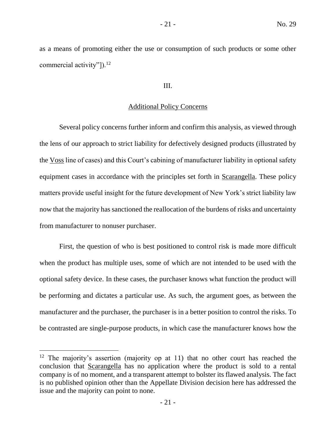as a means of promoting either the use or consumption of such products or some other commercial activity"]).<sup>12</sup>

## III.

## Additional Policy Concerns

Several policy concerns further inform and confirm this analysis, as viewed through the lens of our approach to strict liability for defectively designed products (illustrated by the Voss line of cases) and this Court's cabining of manufacturer liability in optional safety equipment cases in accordance with the principles set forth in Scarangella. These policy matters provide useful insight for the future development of New York's strict liability law now that the majority has sanctioned the reallocation of the burdens of risks and uncertainty from manufacturer to nonuser purchaser.

First, the question of who is best positioned to control risk is made more difficult when the product has multiple uses, some of which are not intended to be used with the optional safety device. In these cases, the purchaser knows what function the product will be performing and dictates a particular use. As such, the argument goes, as between the manufacturer and the purchaser, the purchaser is in a better position to control the risks. To be contrasted are single-purpose products, in which case the manufacturer knows how the

<sup>&</sup>lt;sup>12</sup> The majority's assertion (majority op at 11) that no other court has reached the conclusion that Scarangella has no application where the product is sold to a rental company is of no moment, and a transparent attempt to bolster its flawed analysis. The fact is no published opinion other than the Appellate Division decision here has addressed the issue and the majority can point to none.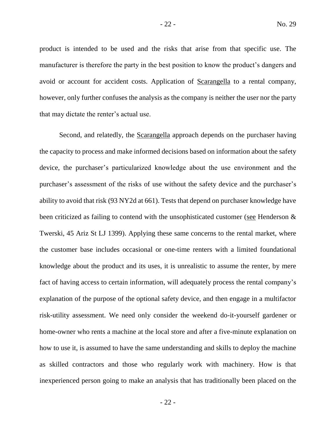product is intended to be used and the risks that arise from that specific use. The manufacturer is therefore the party in the best position to know the product's dangers and avoid or account for accident costs. Application of Scarangella to a rental company, however, only further confuses the analysis as the company is neither the user nor the party that may dictate the renter's actual use.

Second, and relatedly, the Scarangella approach depends on the purchaser having the capacity to process and make informed decisions based on information about the safety device, the purchaser's particularized knowledge about the use environment and the purchaser's assessment of the risks of use without the safety device and the purchaser's ability to avoid that risk (93 NY2d at 661). Tests that depend on purchaser knowledge have been criticized as failing to contend with the unsophisticated customer (see Henderson & Twerski, 45 Ariz St LJ 1399). Applying these same concerns to the rental market, where the customer base includes occasional or one-time renters with a limited foundational knowledge about the product and its uses, it is unrealistic to assume the renter, by mere fact of having access to certain information, will adequately process the rental company's explanation of the purpose of the optional safety device, and then engage in a multifactor risk-utility assessment. We need only consider the weekend do-it-yourself gardener or home-owner who rents a machine at the local store and after a five-minute explanation on how to use it, is assumed to have the same understanding and skills to deploy the machine as skilled contractors and those who regularly work with machinery. How is that inexperienced person going to make an analysis that has traditionally been placed on the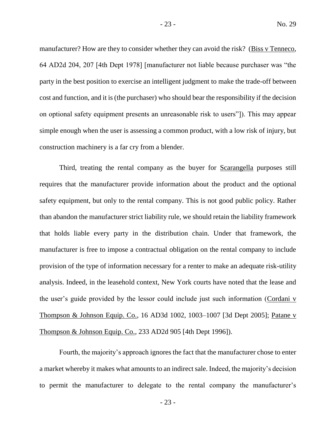manufacturer? How are they to consider whether they can avoid the risk? (Biss v Tenneco, 64 AD2d 204, 207 [4th Dept 1978] [manufacturer not liable because purchaser was "the party in the best position to exercise an intelligent judgment to make the trade-off between cost and function, and it is (the purchaser) who should bear the responsibility if the decision on optional safety equipment presents an unreasonable risk to users"]). This may appear simple enough when the user is assessing a common product, with a low risk of injury, but construction machinery is a far cry from a blender.

Third, treating the rental company as the buyer for **Scarangella** purposes still requires that the manufacturer provide information about the product and the optional safety equipment, but only to the rental company. This is not good public policy. Rather than abandon the manufacturer strict liability rule, we should retain the liability framework that holds liable every party in the distribution chain. Under that framework, the manufacturer is free to impose a contractual obligation on the rental company to include provision of the type of information necessary for a renter to make an adequate risk-utility analysis. Indeed, in the leasehold context, New York courts have noted that the lease and the user's guide provided by the lessor could include just such information (Cordani v Thompson & Johnson Equip. Co., 16 AD3d 1002, 1003–1007 [3d Dept 2005]; Patane v Thompson & Johnson Equip. Co., 233 AD2d 905 [4th Dept 1996]).

Fourth, the majority's approach ignores the fact that the manufacturer chose to enter a market whereby it makes what amounts to an indirect sale. Indeed, the majority's decision to permit the manufacturer to delegate to the rental company the manufacturer's

- 23 -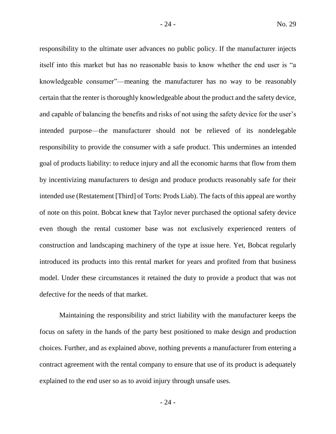responsibility to the ultimate user advances no public policy. If the manufacturer injects itself into this market but has no reasonable basis to know whether the end user is "a knowledgeable consumer"—meaning the manufacturer has no way to be reasonably certain that the renter is thoroughly knowledgeable about the product and the safety device, and capable of balancing the benefits and risks of not using the safety device for the user's intended purpose—the manufacturer should not be relieved of its nondelegable responsibility to provide the consumer with a safe product. This undermines an intended goal of products liability: to reduce injury and all the economic harms that flow from them by incentivizing manufacturers to design and produce products reasonably safe for their intended use (Restatement [Third] of Torts: Prods Liab). The facts of this appeal are worthy of note on this point. Bobcat knew that Taylor never purchased the optional safety device even though the rental customer base was not exclusively experienced renters of construction and landscaping machinery of the type at issue here. Yet, Bobcat regularly introduced its products into this rental market for years and profited from that business model. Under these circumstances it retained the duty to provide a product that was not defective for the needs of that market.

Maintaining the responsibility and strict liability with the manufacturer keeps the focus on safety in the hands of the party best positioned to make design and production choices. Further, and as explained above, nothing prevents a manufacturer from entering a contract agreement with the rental company to ensure that use of its product is adequately explained to the end user so as to avoid injury through unsafe uses.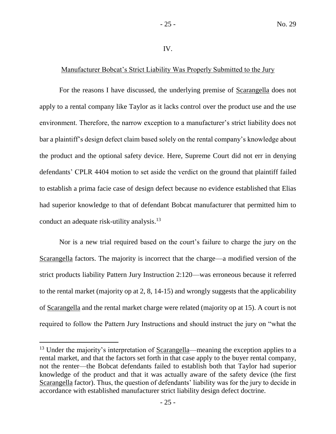### IV.

# Manufacturer Bobcat's Strict Liability Was Properly Submitted to the Jury

For the reasons I have discussed, the underlying premise of Scarangella does not apply to a rental company like Taylor as it lacks control over the product use and the use environment. Therefore, the narrow exception to a manufacturer's strict liability does not bar a plaintiff's design defect claim based solely on the rental company's knowledge about the product and the optional safety device. Here, Supreme Court did not err in denying defendants' CPLR 4404 motion to set aside the verdict on the ground that plaintiff failed to establish a prima facie case of design defect because no evidence established that Elias had superior knowledge to that of defendant Bobcat manufacturer that permitted him to conduct an adequate risk-utility analysis.<sup>13</sup>

Nor is a new trial required based on the court's failure to charge the jury on the Scarangella factors. The majority is incorrect that the charge—a modified version of the strict products liability Pattern Jury Instruction 2:120—was erroneous because it referred to the rental market (majority op at 2, 8, 14-15) and wrongly suggests that the applicability of Scarangella and the rental market charge were related (majority op at 15). A court is not required to follow the Pattern Jury Instructions and should instruct the jury on "what the

<sup>&</sup>lt;sup>13</sup> Under the majority's interpretation of <u>Scarangella</u>—meaning the exception applies to a rental market, and that the factors set forth in that case apply to the buyer rental company, not the renter—the Bobcat defendants failed to establish both that Taylor had superior knowledge of the product and that it was actually aware of the safety device (the first Scarangella factor). Thus, the question of defendants' liability was for the jury to decide in accordance with established manufacturer strict liability design defect doctrine.